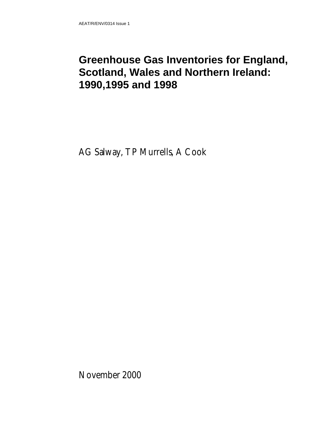### **Greenhouse Gas Inventories for England, Scotland, Wales and Northern Ireland: 1990,1995 and 1998**

AG Salway, TP Murrells, A Cook

November 2000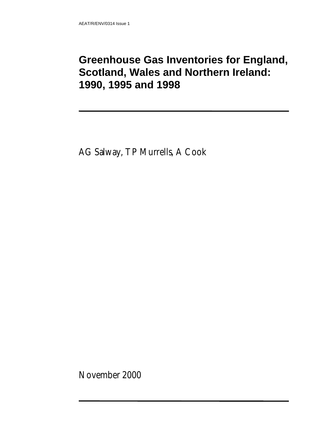### **Greenhouse Gas Inventories for England, Scotland, Wales and Northern Ireland: 1990, 1995 and 1998**

AG Salway, TP Murrells, A Cook

November 2000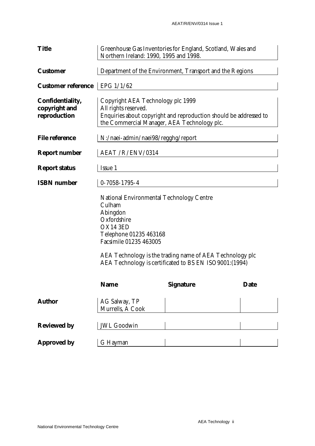| <b>Title</b>                                      | Greenhouse Gas Inventories for England, Scotland, Wales and<br>Northern Ireland: 1990, 1995 and 1998.                                                                                                                                                                             |                                                          |             |  |  |  |  |  |
|---------------------------------------------------|-----------------------------------------------------------------------------------------------------------------------------------------------------------------------------------------------------------------------------------------------------------------------------------|----------------------------------------------------------|-------------|--|--|--|--|--|
| <b>Customer</b>                                   |                                                                                                                                                                                                                                                                                   | Department of the Environment, Transport and the Regions |             |  |  |  |  |  |
| <b>Customer reference</b>                         | EPG 1/1/62                                                                                                                                                                                                                                                                        |                                                          |             |  |  |  |  |  |
| Confidentiality,<br>copyright and<br>reproduction | Copyright AEA Technology plc 1999<br>All rights reserved.<br>Enquiries about copyright and reproduction should be addressed to<br>the Commercial Manager, AEA Technology plc.                                                                                                     |                                                          |             |  |  |  |  |  |
| <b>File reference</b>                             | N:/naei-admin/naei98/regghg/report                                                                                                                                                                                                                                                |                                                          |             |  |  |  |  |  |
| <b>Report number</b>                              | AEAT / R/ENV/0314                                                                                                                                                                                                                                                                 |                                                          |             |  |  |  |  |  |
| <b>Report status</b>                              | Issue 1                                                                                                                                                                                                                                                                           |                                                          |             |  |  |  |  |  |
| <b>ISBN</b> number                                | $0 - 7058 - 1795 - 4$                                                                                                                                                                                                                                                             |                                                          |             |  |  |  |  |  |
|                                                   | <b>National Environmental Technology Centre</b><br>Culham<br>Abingdon<br>Oxfordshire<br>OX14 3ED<br>Telephone 01235 463168<br><b>Facsimile 01235 463005</b><br>AEA Technology is the trading name of AEA Technology plc<br>AEA Technology is certificated to BS EN ISO9001:(1994) |                                                          |             |  |  |  |  |  |
|                                                   | <b>Name</b>                                                                                                                                                                                                                                                                       | <b>Signature</b>                                         | <b>Date</b> |  |  |  |  |  |
| <b>Author</b>                                     | AG Salway, TP<br>Murrells, A Cook                                                                                                                                                                                                                                                 |                                                          |             |  |  |  |  |  |
| <b>Reviewed by</b>                                | <b>JWL Goodwin</b>                                                                                                                                                                                                                                                                |                                                          |             |  |  |  |  |  |
| <b>Approved by</b>                                | G Hayman                                                                                                                                                                                                                                                                          |                                                          |             |  |  |  |  |  |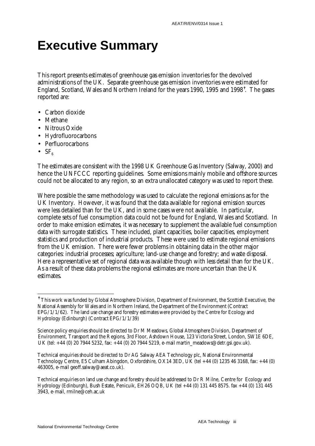# **Executive Summary**

This report presents estimates of greenhouse gas emission inventories for the devolved administrations of the UK. Separate greenhouse gas emission inventories were estimated for England, Scotland, Wales and Northern Ireland for the years 1990, 1995 and 1998<sup>t</sup>. The gases reported are:

- Carbon dioxide
- Methane
- Nitrous Oxide
- Hydrofluorocarbons
- Perfluorocarbons
- $SF<sub>6</sub>$

 $\overline{a}$ 

The estimates are consistent with the 1998 UK Greenhouse Gas Inventory (Salway, 2000) and hence the UNFCCC reporting guidelines. Some emissions mainly mobile and offshore sources could not be allocated to any region, so an extra unallocated category was used to report these.

Where possible the same methodology was used to calculate the regional emissions as for the UK Inventory. However, it was found that the data available for regional emission sources were less detailed than for the UK, and in some cases were not available. In particular, complete sets of fuel consumption data could not be found for England, Wales and Scotland. In order to make emission estimates, it was necessary to supplement the available fuel consumption data with surrogate statistics. These included, plant capacities, boiler capacities, employment statistics and production of industrial products. These were used to estimate regional emissions from the UK emission. There were fewer problems in obtaining data in the other major categories: industrial processes; agriculture; land-use change and forestry; and waste disposal. Here a representative set of regional data was available though with less detail than for the UK. As a result of these data problems the regional estimates are more uncertain than the UK estimates.

 $^\dagger$  This work was funded by Global Atmosphere Division, Department of Environment, the Scottish Executive, the National Assembly for Wales and in Northern Ireland, the Department of the Environment (Contract EPG/1/1/62). The land use change and forestry estimates were provided by the Centre for Ecology and Hydrology (Edinburgh) (Contract EPG/1/1/39)

Science policy enquiries should be directed to Dr M Meadows, Global Atmosphere Division, Department of Environment, Transport and the Regions, 3rd Floor, Ashdown House, 123 Victoria Street, London, SW1E 6DE, UK (tel: +44 (0) 20 7944 5232, fax: +44 (0) 20 7944 5219, e-mail martin\_meadows@detr.gsi.gov.uk).

Technical enquiries should be directed to Dr AG Salway AEA Technology plc, National Environmental Technology Centre, E5 Culham Abingdon, Oxfordshire, OX14 3ED, UK (tel +44 (0) 1235 46 3168, fax: +44 (0) 463005, e-mail geoff.salway@aeat.co.uk).

Technical enquiries on land use change and forestry should be addressed to Dr R Milne, Centre for Ecology and Hydrology (Edinburgh), Bush Estate, Penicuik, EH26 OQB, UK (tel +44 (0) 131 445 8575. fax +44 (0) 131 445 3943, e-mail, rmilne@ceh.ac.uk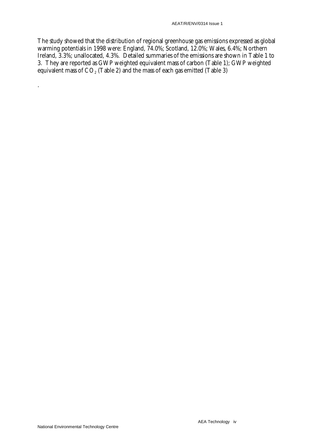The study showed that the distribution of regional greenhouse gas emissions expressed as global warming potentials in 1998 were: England, 74.0%; Scotland, 12.0%; Wales, 6.4%; Northern Ireland, 3.3%; unallocated, 4.3%. Detailed summaries of the emissions are shown in Table 1 to 3. They are reported as GWP weighted equivalent mass of carbon (Table 1); GWP weighted equivalent mass of  $CO<sub>2</sub>$  (Table 2) and the mass of each gas emitted (Table 3)

.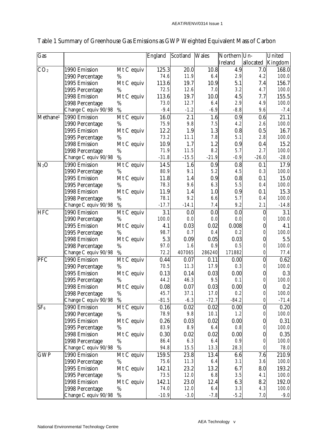| Gas                  |                      |            | England | Scotland | <b>Wales</b> | Northern Un-   |           | United  |
|----------------------|----------------------|------------|---------|----------|--------------|----------------|-----------|---------|
|                      |                      |            |         |          |              | <b>Ireland</b> | allocated | Kingdom |
| CO <sub>2</sub>      | 1990 Emission        | Mt C equiv | 125.3   | 20.0     | 10.8         | 4.9            | 7.0       | 168.0   |
|                      | 1990 Percentage      | %          | 74.6    | 11.9     | 6.4          | 2.9            | 4.2       | 100.0   |
|                      | 1995 Emission        | Mt C equiv | 113.6   | 19.7     | 10.9         | 5.1            | 7.4       | 156.7   |
|                      | 1995 Percentage      | %          | 72.5    | 12.6     | 7.0          | 3.2            | 4.7       | 100.0   |
|                      | 1998 Emission        | Mt C equiv | 113.6   | 19.7     | 10.0         | 4.5            | 7.7       | 155.5   |
|                      | 1998 Percentage      | %          | 73.0    | 12.7     | 6.4          | 2.9            | 4.9       | 100.0   |
|                      | Change C equiv 90/98 | %          | $-9.4$  | $-1.2$   | $-6.9$       | $-8.8$         | 9.6       | $-7.4$  |
| Methane <sup>1</sup> | 1990 Emission        | Mt C equiv | 16.0    | 2.1      | 1.6          | 0.9            | 0.6       | 21.1    |
|                      | 1990 Percentage      | %          | 75.9    | 9.8      | 7.5          | 4.2            | 2.6       | 100.0   |
|                      | 1995 Emission        | Mt C equiv | 12.2    | 1.9      | 1.3          | 0.8            | 0.5       | 16.7    |
|                      | 1995 Percentage      | %          | 73.2    | 11.1     | 7.8          | 5.1            | 2.8       | 100.0   |
|                      | 1998 Emission        | Mt C equiv | 10.9    | 1.7      | 1.2          | 0.9            | 0.4       | 15.2    |
|                      | 1998 Percentage      | %          | 71.9    | 11.5     | 8.2          | 5.7            | 2.7       | 100.0   |
|                      | Change C equiv 90/98 | %          | $-31.8$ | $-15.5$  | $-21.9$      | $-0.9$         | $-26.0$   | $-28.0$ |
| $N_2O$               | 1990 Emission        | Mt C equiv | 14.5    | 1.6      | 0.9          | 0.8            | 0.1       | 17.9    |
|                      | 1990 Percentage      | %          | 80.9    | 9.1      | 5.2          | 4.5            | 0.3       | 100.0   |
|                      | 1995 Emission        | Mt C equiv | 11.8    | 1.4      | 0.9          | 0.8            | 0.1       | 15.0    |
|                      | 1995 Percentage      | %          | 78.3    | 9.6      | 6.3          | 5.5            | 0.4       | 100.0   |
|                      | 1998 Emission        | Mt C equiv | 11.9    | 1.4      | 1.0          | 0.9            | 0.1       | 15.3    |
|                      | 1998 Percentage      | %          | 78.1    | 9.2      | 6.6          | 5.7            | 0.4       | 100.0   |
|                      | Change C equiv 90/98 | %          | $-17.7$ | $-14.1$  | 7.4          | 9.2            | 2.1       | $-14.8$ |
| <b>HFC</b>           | 1990 Emission        | Mt C equiv | 3.1     | 0.0      | 0.0          | 0.0            | 0         | 3.1     |
|                      | 1990 Percentage      | %          | 100.0   | 0.0      | 0.0          | 0.0            |           | 100.0   |
|                      | 1995 Emission        | Mt C equiv | 4.1     | 0.03     | 0.02         | 0.008          |           | 4.1     |
|                      | 1995 Percentage      | %          | 98.7    | 0.7      | 0.4          | 0.2            |           | 100.0   |
|                      | 1998 Emission        | Mt C equiv | 5.3     | 0.09     | 0.05         | 0.03           | 0         | 5.5     |
|                      | 1998 Percentage      | $\%$       | 97.0    | 1.6      | 0.9          | 0.5            |           | 100.0   |
|                      | Change C equiv 90/98 | %          | 72.2    | 407065   | 286240       | 171882         |           | 77.4    |
| PFC                  | 1990 Emission        | Mt C equiv | 0.44    | 0.07     | 0.11         | 0.00           | $\bf{0}$  | 0.62    |
|                      | 1990 Percentage      | %          | 70.5    | 11.3     | 17.9         | 0.3            |           | 100.0   |
|                      | 1995 Emission        | Mt C equiv | 0.13    | 0.14     | 0.03         | 0.00           | 0         | 0.3     |
|                      | 1995 Percentage      | %          | 44.2    | 46.3     | 9.5          | 0.1            |           | 100.0   |
|                      | 1998 Emission        | Mt C equiv | 0.08    | $0.07\,$ | $0.03\,$     | 0.00           | 0         | 0.2     |
|                      | 1998 Percentage      | $\%$       | 45.7    | 37.1     | 17.0         | 0.2            | 0         | 100.0   |
|                      | Change C equiv 90/98 | %          | $-81.5$ | $-6.3$   | $-72.7$      | $-84.2$        |           | $-71.4$ |
| SF <sub>6</sub>      | 1990 Emission        | Mt C equiv | 0.16    | 0.02     | 0.02         | 0.00           | 0         | 0.20    |
|                      | 1990 Percentage      | %          | 78.9    | 9.8      | 10.1         | 1.2            |           | 100.0   |
|                      | 1995 Emission        | Mt C equiv | 0.26    | 0.03     | 0.02         | 0.00           | 0         | 0.31    |
|                      | 1995 Percentage      | %          | 83.9    | 8.9      | 6.4          | 0.8            |           | 100.0   |
|                      | 1998 Emission        | Mt C equiv | 0.30    | 0.02     | 0.02         | 0.00           | 0         | 0.35    |
|                      | 1998 Percentage      | $\%$       | 86.4    | 6.3      | 6.4          | 0.9            |           | 100.0   |
|                      | Change C equiv 90/98 | $\%$       | 94.8    | 15.5     | 13.3         | 28.3           |           | 78.0    |
| <b>GWP</b>           | 1990 Emission        | Mt C equiv | 159.5   | 23.8     | 13.4         | 6.6            | 7.6       | 210.9   |
|                      | 1990 Percentage      | %          | 75.6    | 11.3     | 6.4          | 3.1            | 3.6       | 100.0   |
|                      | 1995 Emission        | Mt C equiv | 142.1   | 23.2     | 13.2         | 6.7            | 8.0       | 193.2   |
|                      | 1995 Percentage      | %          | 73.5    | 12.0     | 6.8          | 3.5            | 4.1       | 100.0   |
|                      | 1998 Emission        | Mt C equiv | 142.1   | 23.0     | 12.4         | 6.3            | 8.2       | 192.0   |
|                      | 1998 Percentage      | $\%$       | 74.0    | 12.0     | 6.4          | 3.3            | 4.3       | 100.0   |
|                      | Change C equiv 90/98 | $\%$       | $-10.9$ | $-3.0$   | $-7.8$       | $-5.2$         | 7.0       | $-9.0$  |

### Table 1 Summary of Greenhouse Gas Emissions as GWP Weighted Equivalent Mass of Carbon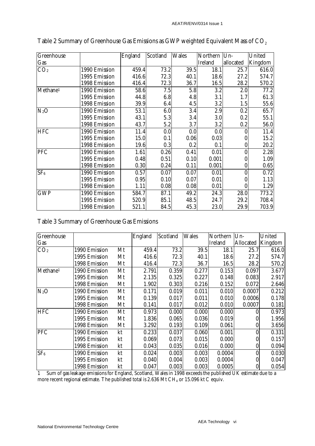| Greenhouse           |               | England | Scotland | <b>Wales</b> | Northern       | $Um-$            | United  |
|----------------------|---------------|---------|----------|--------------|----------------|------------------|---------|
| Gas                  |               |         |          |              | <b>Ireland</b> | allocated        | Kingdom |
| CO <sub>2</sub>      | 1990 Emission | 459.4   | 73.2     | 39.5         | 18.1           | 25.7             | 616.0   |
|                      | 1995 Emission | 416.6   | 72.3     | 40.1         | 18.6           | 27.2             | 574.7   |
|                      | 1998 Emission | 416.4   | 72.3     | 36.7         | 16.5           | 28.2             | 570.2   |
| Methane <sup>1</sup> | 1990 Emission | 58.6    | 7.5      | 5.8          | 3.2            | 2.0              | 77.2    |
|                      | 1995 Emission | 44.8    | 6.8      | 4.8          | 3.1            | 1.7              | 61.3    |
|                      | 1998 Emission | 39.9    | 6.4      | 4.5          | 3.2            | 1.5              | 55.6    |
| $N_2O$               | 1990 Emission | 53.1    | 6.0      | 3.4          | 2.9            | 0.2              | 65.7    |
|                      | 1995 Emission | 43.1    | 5.3      | 3.4          | 3.0            | 0.2              | 55.1    |
|                      | 1998 Emission | 43.7    | 5.2      | 3.7          | 3.2            | 0.2              | 56.0    |
| <b>HFC</b>           | 1990 Emission | 11.4    | 0.0      | 0.0          | 0.0            | $\mathbf{0}$     | 11.4    |
|                      | 1995 Emission | 15.0    | 0.1      | 0.06         | 0.03           | 0                | 15.2    |
|                      | 1998 Emission | 19.6    | 0.3      | 0.2          | 0.1            | $\boldsymbol{0}$ | 20.2    |
| PFC                  | 1990 Emission | 1.61    | 0.26     | 0.41         | 0.01           | $\boldsymbol{0}$ | 2.28    |
|                      | 1995 Emission | 0.48    | 0.51     | 0.10         | 0.001          | $\bf{0}$         | 1.09    |
|                      | 1998 Emission | 0.30    | 0.24     | 0.11         | 0.001          | $\boldsymbol{0}$ | 0.65    |
| SF <sub>6</sub>      | 1990 Emission | 0.57    | 0.07     | 0.07         | 0.01           | $\boldsymbol{0}$ | 0.72    |
|                      | 1995 Emission | 0.95    | 0.10     | 0.07         | 0.01           | $\bf{0}$         | 1.13    |
|                      | 1998 Emission | 1.11    | 0.08     | 0.08         | 0.01           | $\mathbf{0}$     | 1.29    |
| <b>GWP</b>           | 1990 Emission | 584.7   | 87.1     | 49.2         | 24.3           | 28.0             | 773.2   |
|                      | 1995 Emission | 520.9   | 85.1     | 48.5         | 24.7           | 29.2             | 708.4   |
|                      | 1998 Emission | 521.1   | 84.5     | 45.3         | 23.0           | 29.9             | 703.9   |

Table 2 Summary of Greenhouse Gas Emissions as GWP weighted Equivalent Mass of CO<sub>2</sub>

#### Table 3 Summary of Greenhouse Gas Emissions

| Greenhouse           |               |    | England | <b>Scotland</b> | <b>Wales</b> | Northern       | $Un-$            | <b>United</b> |
|----------------------|---------------|----|---------|-----------------|--------------|----------------|------------------|---------------|
| Gas                  |               |    |         |                 |              | <b>Ireland</b> | <b>Allocated</b> | Kingdom       |
| CO <sub>2</sub>      | 1990 Emission | Mt | 459.4   | 73.2            | 39.5         | 18.1           | 25.7             | 616.0         |
|                      | 1995 Emission | Mt | 416.6   | 72.3            | 40.1         | 18.6           | 27.2             | 574.7         |
|                      | 1998 Emission | Mt | 416.4   | 72.3            | 36.7         | 16.5           | 28.2             | 570.2         |
| Methane <sup>1</sup> | 1990 Emission | Mt | 2.791   | 0.359           | 0.277        | 0.153          | 0.097            | 3.677         |
|                      | 1995 Emission | Mt | 2.135   | 0.325           | 0.227        | 0.148          | 0.083            | 2.917         |
|                      | 1998 Emission | Mt | 1.902   | 0.303           | 0.216        | 0.152          | 0.072            | 2.646         |
| $N_2O$               | 1990 Emission | Mt | 0.171   | 0.019           | 0.011        | 0.010          | 0.0007           | 0.212         |
|                      | 1995 Emission | Mt | 0.139   | 0.017           | 0.011        | 0.010          | 0.0006           | 0.178         |
|                      | 1998 Emission | Mt | 0.141   | 0.017           | 0.012        | 0.010          | 0.0007           | 0.181         |
| <b>HFC</b>           | 1990 Emission | Mt | 0.973   | 0.000           | 0.000        | 0.000          | 0                | 0.973         |
|                      | 1995 Emission | Mt | 1.836   | 0.065           | 0.036        | 0.019          | 0                | 1.956         |
|                      | 1998 Emission | Mt | 3.292   | 0.193           | 0.109        | 0.061          | 0                | 3.656         |
| <b>PFC</b>           | 1990 Emission | kt | 0.233   | 0.037           | 0.060        | 0.001          | 0                | 0.331         |
|                      | 1995 Emission | kt | 0.069   | 0.073           | 0.015        | 0.000          | 0                | 0.157         |
|                      | 1998 Emission | kt | 0.043   | 0.035           | 0.016        | 0.000          | $\boldsymbol{0}$ | 0.094         |
| SF <sub>6</sub>      | 1990 Emission | kt | 0.024   | 0.003           | 0.003        | 0.0004         | 0                | 0.030         |
|                      | 1995 Emission | kt | 0.040   | 0.004           | 0.003        | 0.0004         | 0                | 0.047         |
|                      | 1998 Emission | kt | 0.047   | 0.003           | 0.003        | 0.0005         | 0                | 0.054         |

1 Sum of gas leakage emissions for England, Scotland, Wales in 1998 exceeds the published UK estimate due to a more recent regional estimate. The published total is 2.636 Mt CH $_4$  or 15.096 kt C equiv.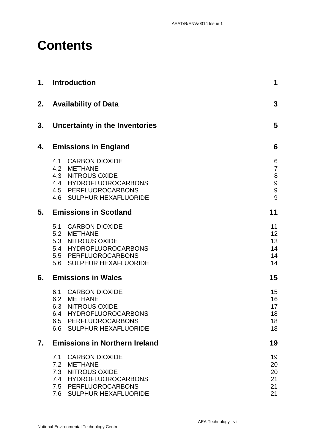# **Contents**

| 1. | <b>Introduction</b>                                                                                                                                      | 1                                       |
|----|----------------------------------------------------------------------------------------------------------------------------------------------------------|-----------------------------------------|
| 2. | <b>Availability of Data</b>                                                                                                                              | 3                                       |
| 3. | <b>Uncertainty in the Inventories</b>                                                                                                                    | 5                                       |
| 4. | <b>Emissions in England</b>                                                                                                                              | 6                                       |
|    | 4.1 CARBON DIOXIDE<br>4.2 METHANE<br>4.3 NITROUS OXIDE<br>4.4 HYDROFLUOROCARBONS<br>4.5 PERFLUOROCARBONS<br>4.6 SULPHUR HEXAFLUORIDE                     | 6<br>$\overline{7}$<br>8<br>9<br>9<br>9 |
| 5. | <b>Emissions in Scotland</b>                                                                                                                             | 11                                      |
|    | 5.1 CARBON DIOXIDE<br>5.2 METHANE<br>5.3 NITROUS OXIDE<br>5.4 HYDROFLUOROCARBONS<br>5.5 PERFLUOROCARBONS<br>5.6 SULPHUR HEXAFLUORIDE                     | 11<br>12<br>13<br>14<br>14<br>14        |
| 6. | <b>Emissions in Wales</b>                                                                                                                                | 15                                      |
|    | 6.1 CARBON DIOXIDE<br>6.2 METHANE<br>6.3 NITROUS OXIDE<br>HYDROFLUOROCARBONS<br>6.4<br>6.5 PERFLUOROCARBONS<br>6.6 SULPHUR HEXAFLUORIDE                  | 15<br>16<br>17<br>18<br>18<br>18        |
| 7. | <b>Emissions in Northern Ireland</b>                                                                                                                     | 19                                      |
|    | <b>CARBON DIOXIDE</b><br>7.1<br><b>METHANE</b><br>7.2<br>7.3 NITROUS OXIDE<br>7.4 HYDROFLUOROCARBONS<br>7.5 PERFLUOROCARBONS<br>7.6 SULPHUR HEXAFLUORIDE | 19<br>20<br>20<br>21<br>21<br>21        |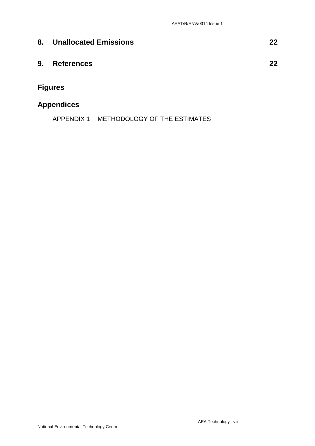| 8. | <b>Unallocated Emissions</b> | 22 |
|----|------------------------------|----|
| 9. | <b>References</b>            | 22 |
|    | <b>Figures</b>               |    |

### **Appendices**

APPENDIX 1 METHODOLOGY OF THE ESTIMATES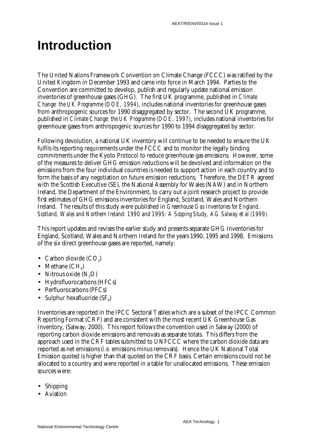# **Introduction**

The United Nations Framework Convention on Climate Change (FCCC) was ratified by the United Kingdom in December 1993 and came into force in March 1994. Parties to the Convention are committed to develop, publish and regularly update national emission inventories of greenhouse gases (GHG). The first UK programme, published in *Climate Change: the UK Programme (DOE, 1994)*, includes national inventories for greenhouse gases from anthropogenic sources for 1990 disaggregated by sector. The second UK programme, published in *Climate Change: the UK Programme (DOE, 1997)*, includes national inventories for greenhouse gases from anthropogenic sources for 1990 to 1994 disaggregated by sector.

Following devolution, a national UK inventory will continue to be needed to ensure the UK fulfils its reporting requirements under the FCCC and to monitor the legally binding commitments under the Kyoto Protocol to reduce greenhouse gas emissions. However, some of the measures to deliver GHG emission reductions will be devolved and information on the emissions from the four individual countries is needed to support action in each country and to form the basis of any negotiation on future emission reductions. Therefore, the DETR agreed with the Scottish Executive (SE), the National Assembly for Wales (NAW) and in Northern Ireland, the Department of the Environment, to carry out a joint research project to provide first estimates of GHG emissions inventories for England, Scotland, Wales and Northern Ireland. The results of this study were published in *Greenhouse Gas Inventories for England, Scotland, Wales and Northern Ireland: 1990 and 1995: A Scoping Study, AG Salway et al (1999).*

This report updates and revises the earlier study and presents separate GHG Inventories for England, Scotland, Wales and Northern Ireland for the years 1990, 1995 and 1998. Emissions of the six direct greenhouse gases are reported, namely:

- Carbon dioxide  $(CO<sub>2</sub>)$
- Methane  $(CH_4)$
- Nitrous oxide  $(N, O)$
- Hydrofluorocarbons (HFCs)
- Perfluorocarbons (PFCs)
- Sulphur hexafluoride  $(SF_6)$

Inventories are reported in the IPCC Sectoral Tables which are a subset of the IPCC Common Reporting Format (CRF) and are consistent with the most recent UK Greenhouse Gas Inventory, (Salway, 2000). This report follows the convention used in Salway (2000) of reporting carbon dioxide emissions and removals as separate totals. This differs from the approach used in the CRF tables submitted to UNFCCC where the carbon dioxide data are reported as net emissions (*i.e*. emissions minus removals). Hence the UK National Total Emission quoted is higher than that quoted on the CRF basis. Certain emissions could not be allocated to a country and were reported in a table for unallocated emissions. These emission sources were:

- Shipping
- Aviation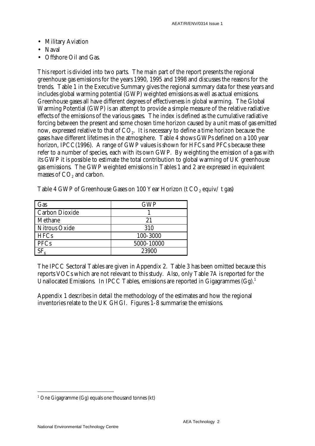- Military Aviation
- Naval
- Offshore Oil and Gas.

This report is divided into two parts. The main part of the report presents the regional greenhouse gas emissions for the years 1990, 1995 and 1998 and discusses the reasons for the trends. Table 1 in the Executive Summary gives the regional summary data for these years and includes global warming potential (GWP) weighted emissions as well as actual emissions. Greenhouse gases all have different degrees of effectiveness in global warming. The Global Warming Potential (GWP) is an attempt to provide a simple measure of the relative radiative effects of the emissions of the various gases. The index is defined as the cumulative radiative forcing between the present and some chosen time horizon caused by a unit mass of gas emitted now, expressed relative to that of CO<sub>2</sub>. It is necessary to define a time horizon because the gases have different lifetimes in the atmosphere. Table 4 shows GWPs defined on a 100 year horizon, IPCC(1996). A range of GWP values is shown for HFCs and PFCs because these refer to a number of species, each with its own GWP. By weighting the emission of a gas with its GWP it is possible to estimate the total contribution to global warming of UK greenhouse gas emissions. The GWP weighted emissions in Tables 1 and 2 are expressed in equivalent masses of CO<sub>2</sub> and carbon.

| Gas                   | <b>GWP</b> |
|-----------------------|------------|
| <b>Carbon Dioxide</b> |            |
| Methane               | 21         |
| <b>Nitrous Oxide</b>  | 310        |
| <b>HFCs</b>           | 100-3000   |
| <b>PFCs</b>           | 5000-10000 |
| $SF_{\alpha}$         | 23900      |

Table 4 GWP of Greenhouse Gases on 100 Year Horizon (t CO<sub>2</sub> equiv/t gas)

The IPCC Sectoral Tables are given in Appendix 2. Table 3 has been omitted because this reports VOCs which are not relevant to this study. Also, only Table 7A is reported for the Unallocated Emissions. In IPCC Tables, emissions are reported in Gigagrammes  $(Gg)$ .<sup>1</sup>

Appendix 1 describes in detail the methodology of the estimates and how the regional inventories relate to the UK GHGI. Figures 1-8 summarise the emissions.

 $\overline{a}$  $1$  One Gigagramme (Gg) equals one thousand tonnes (kt)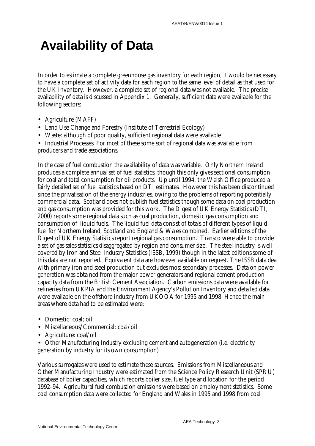# **Availability of Data**

In order to estimate a complete greenhouse gas inventory for each region, it would be necessary to have a complete set of activity data for each region to the same level of detail as that used for the UK Inventory. However, a complete set of regional data was not available. The precise availability of data is discussed in Appendix 1. Generally, sufficient data were available for the following sectors:

- Agriculture (MAFF)
- Land Use Change and Forestry (Institute of Terrestrial Ecology)
- Waste: although of poor quality, sufficient regional data were available

• Industrial Processes: For most of these some sort of regional data was available from producers and trade associations.

In the case of fuel combustion the availability of data was variable. Only Northern Ireland produces a complete annual set of fuel statistics, though this only gives sectional consumption for coal and total consumption for oil products. Up until 1994, the Welsh Office produced a fairly detailed set of fuel statistics based on DTI estimates. However this has been discontinued since the privatisation of the energy industries, owing to the problems of reporting potentially commercial data. Scotland does not publish fuel statistics though some data on coal production and gas consumption was provided for this work. The Digest of UK Energy Statistics (DTI, 2000) reports some regional data such as coal production, domestic gas consumption and consumption of liquid fuels. The liquid fuel data consist of totals of different types of liquid fuel for Northern Ireland, Scotland and England & Wales combined. Earlier editions of the Digest of UK Energy Statistics report regional gas consumption. Transco were able to provide a set of gas sales statistics disaggregated by region and consumer size. The steel industry is well covered by Iron and Steel Industry Statistics (ISSB, 1999) though in the latest editions some of this data are not reported. Equivalent data are however available on request. The ISSB data deal with primary iron and steel production but excludes most secondary processes. Data on power generation was obtained from the major power generators and regional cement production capacity data from the British Cement Association. Carbon emissions data were available for refineries from UKPIA and the Environment Agency's Pollution Inventory and detailed data were available on the offshore industry from UKOOA for 1995 and 1998. Hence the main areas where data had to be estimated were:

- Domestic: coal; oil
- Miscellaneous/Commercial: coal/oil
- Agriculture: coal/oil
- Other Manufacturing Industry excluding cement and autogeneration (i.e. electricity generation by industry for its own consumption)

Various surrogates were used to estimate these sources. Emissions from Miscellaneous and Other Manufacturing Industry were estimated from the Science Policy Research Unit (SPRU) database of boiler capacities, which reports boiler size, fuel type and location for the period 1992-94. Agricultural fuel combustion emissions were based on employment statistics. Some coal consumption data were collected for England and Wales in 1995 and 1998 from coal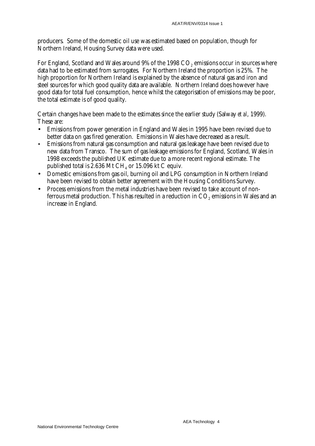producers. Some of the domestic oil use was estimated based on population, though for Northern Ireland, Housing Survey data were used.

For England, Scotland and Wales around  $9\%$  of the 1998  $CO<sub>2</sub>$  emissions occur in sources where data had to be estimated from surrogates. For Northern Ireland the proportion is 25%. The high proportion for Northern Ireland is explained by the absence of natural gas and iron and steel sources for which good quality data are available. Northern Ireland does however have good data for total fuel consumption, hence whilst the categorisation of emissions may be poor, the total estimate is of good quality.

Certain changes have been made to the estimates since the earlier study (Salway *et al*, 1999). These are:

- Emissions from power generation in England and Wales in 1995 have been revised due to better data on gas fired generation. Emissions in Wales have decreased as a result.
- Emissions from natural gas consumption and natural gas leakage have been revised due to new data from Transco. The sum of gas leakage emissions for England, Scotland, Wales in 1998 exceeds the published UK estimate due to a more recent regional estimate. The published total is  $2.636$  Mt CH<sub>4</sub> or  $15.096$  kt C equiv.
- Domestic emissions from gas oil, burning oil and LPG consumption in Northern Ireland have been revised to obtain better agreement with the Housing Conditions Survey.
- Process emissions from the metal industries have been revised to take account of nonferrous metal production. This has resulted in a reduction in  $CO<sub>2</sub>$  emissions in Wales and an increase in England.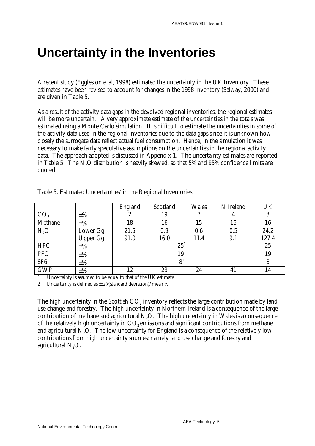## **Uncertainty in the Inventories**

A recent study (Eggleston *et al*, 1998) estimated the uncertainty in the UK Inventory. These estimates have been revised to account for changes in the 1998 inventory (Salway, 2000) and are given in Table 5.

As a result of the activity data gaps in the devolved regional inventories, the regional estimates will be more uncertain. A very approximate estimate of the uncertainties in the totals was estimated using a Monte Carlo simulation. It is difficult to estimate the uncertainties in some of the activity data used in the regional inventories due to the data gaps since it is unknown how closely the surrogate data reflect actual fuel consumption. Hence, in the simulation it was necessary to make fairly speculative assumptions on the uncertainties in the regional activity data. The approach adopted is discussed in Appendix 1. The uncertainty estimates are reported in Table 5. The  $N<sub>2</sub>O$  distribution is heavily skewed, so that 5% and 95% confidence limits are quoted.

|                 |                 | England | Scotland        | <b>Wales</b> | N Ireland | UK    |  |  |
|-----------------|-----------------|---------|-----------------|--------------|-----------|-------|--|--|
| CO <sub>2</sub> | $\pm\%$         | 2       | 19              |              | t.        | 3     |  |  |
| Methane         | $\pm\%$         | 18      | 16              | 15           | 16        | 16    |  |  |
| $N_2O$          | Lower Gg        | 21.5    | 0.9             | 0.6          | 0.5       | 24.2  |  |  |
|                 | <b>Upper Gg</b> | 91.0    | 16.0            | 11.4         | 9.1       | 127.4 |  |  |
| <b>HFC</b>      | $\pm\%$         |         | 25 <sup>1</sup> |              |           |       |  |  |
| <b>PFC</b>      | $\pm\%$         |         | 19 <sup>1</sup> |              |           |       |  |  |
| SF <sub>6</sub> | $\pm\%$         |         | 8               |              |           |       |  |  |
| <b>GWP</b>      | $\pm\%$         | 12      | 23              | 24           | 41        | 14    |  |  |

Table 5. Estimated Uncertainties $^2$  in the Regional Inventories

1 Uncertainty is assumed to be equal to that of the UK estimate

2 Uncertainty is defined as  $\pm 2 \times$ (standard deviation)/mean %

The high uncertainty in the Scottish CO<sub>2</sub> inventory reflects the large contribution made by land use change and forestry. The high uncertainty in Northern Ireland is a consequence of the large contribution of methane and agricultural  $N_2O$ . The high uncertainty in Wales is a consequence of the relatively high uncertainty in  $CO<sub>2</sub>$  emissions and significant contributions from methane and agricultural  $N<sub>2</sub>O$ . The low uncertainty for England is a consequence of the relatively low contributions from high uncertainty sources: namely land use change and forestry and agricultural N<sub>2</sub>O.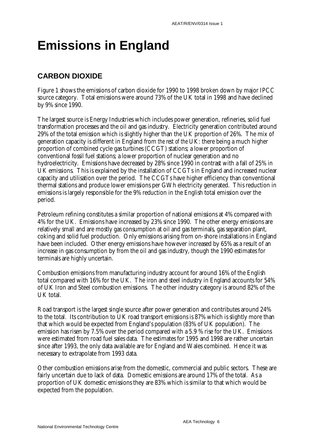# **Emissions in England**

#### **CARBON DIOXIDE**

Figure 1 shows the emissions of carbon dioxide for 1990 to 1998 broken down by major IPCC source category. Total emissions were around 73% of the UK total in 1998 and have declined by 9% since 1990.

The largest source is Energy Industries which includes power generation, refineries, solid fuel transformation processes and the oil and gas industry. Electricity generation contributed around 29% of the total emission which is slightly higher than the UK proportion of 26%. The mix of generation capacity is different in England from *the rest of the* UK: there being a much higher proportion of combined cycle gas turbines (CCGT) stations; a lower proportion of conventional fossil fuel stations; a lower proportion of nuclear generation and no hydroelectricity. Emissions have decreased by 28% since 1990 in contrast with a fall of 25% in UK emissions. This is explained by the installation of CCGTs in England and increased nuclear capacity and utilisation over the period. The CCGTs have higher efficiency than conventional thermal stations and produce lower emissions per GWh electricity generated. This reduction in emissions is largely responsible for the 9% reduction in the English total emission over the period.

Petroleum refining constitutes a similar proportion of national emissions at 4% compared with 4% for the UK. Emissions have increased by 23% since 1990. The other energy emissions are relatively small and are mostly gas consumption at oil and gas terminals, gas separation plant, coking and solid fuel production. Only emissions arising from on-shore installations in England have been included. Other energy emissions have however increased by 65% as a result of an increase in gas consumption by from the oil and gas industry, though the 1990 estimates for terminals are highly uncertain.

Combustion emissions from manufacturing industry account for around 16% of the English total compared with 16% for the UK. The iron and steel industry in England accounts for 54% of UK Iron and Steel combustion emissions. The other industry category is around 82% of the UK total.

Road transport is the largest single source after power generation and contributes around 24% to the total. Its contribution to UK road transport emissions is 87% which is slightly more than that which would be expected from England's population (83% of UK population). The emission has risen by 7.5% over the period compared with a 5.9 % rise for the UK. Emissions were estimated from road fuel sales data. The estimates for 1995 and 1998 are rather uncertain since after 1993, the only data available are for England and Wales combined. Hence it was necessary to extrapolate from 1993 data.

Other combustion emissions arise from the domestic, commercial and public sectors. These are fairly uncertain due to lack of data. Domestic emissions are around 17% of the total. As a proportion of UK domestic emissions they are 83% which is similar to that which would be expected from the population.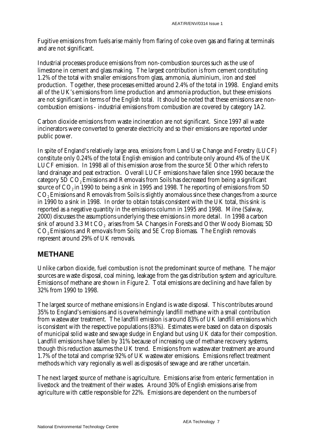Fugitive emissions from fuels arise mainly from flaring of coke oven gas and flaring at terminals and are not significant.

Industrial processes produce emissions from non-combustion sources such as the use of limestone in cement and glass making. The largest contribution is from cement constituting 1.2% of the total with smaller emissions from glass, ammonia, aluminium, iron and steel production. Together, these processes emitted around 2.4% of the total in 1998. England emits all of the UK's emissions from lime production and ammonia production, but these emissions are not significant in terms of the English total. It should be noted that these emissions are noncombustion emissions - industrial emissions from combustion are covered by category 1A2.

Carbon dioxide emissions from waste incineration are not significant. Since 1997 all waste incinerators were converted to generate electricity and so their emissions are reported under public power.

In spite of England's relatively large area, *emissions* from Land Use Change and Forestry (LUCF) constitute only 0.24% of the total English emission and contribute only around 4% of the UK LUCF emission. In 1998 all of this emission arose from the source 5E Other which refers to land drainage and peat extraction. Overall LUCF emissions have fallen since 1990 because the category 5D CO<sub>2</sub> Emissions and Removals from Soils has decreased from being a significant source of  $CO<sub>2</sub>$  in 1990 to being a sink in 1995 and 1998. The reporting of emissions from 5D CO2 Emissions and Removals from Soils is slightly anomalous since these changes from a source in 1990 to a sink in 1998. In order to obtain totals consistent with the UK total, this sink is reported as a negative quantity in the emissions column in 1995 and 1998. Milne (Salway, 2000) discusses the assumptions underlying these emissions in more detail. In 1998 a carbon sink of around 3.3 Mt  $CO<sub>2</sub>$  arises from 5A Changes in Forests and Other Woody Biomass; 5D CO2 Emissions and Removals from Soils; and 5E Crop Biomass. The English removals represent around 29% of UK removals.

### **METHANE**

Unlike carbon dioxide, fuel combustion is not the predominant source of methane. The major sources are waste disposal, coal mining, leakage from the gas distribution system and agriculture. Emissions of methane are shown in Figure 2. Total emissions are declining and have fallen by 32% from 1990 to 1998.

The largest source of methane emissions in England is waste disposal. This contributes around 35% to England's emissions and is overwhelmingly landfill methane with a small contribution from wastewater treatment. The landfill emission is around 83% of UK landfill emissions which is consistent with the respective populations (83%). Estimates were based on data on disposals of municipal solid waste and sewage sludge in England but using UK data for their composition. Landfill emissions have fallen by  $31\%$  because of increasing use of methane recovery systems, though this reduction assumes the UK trend. Emissions from wastewater treatment are around 1.7% of the total and comprise 92% of UK wastewater emissions. Emissions reflect treatment methods which vary regionally as well as disposals of sewage and are rather uncertain.

The next largest source of methane is agriculture. Emissions arise from enteric fermentation in livestock and the treatment of their wastes. Around 30% of English emissions arise from agriculture with cattle responsible for 22%. Emissions are dependent on the numbers of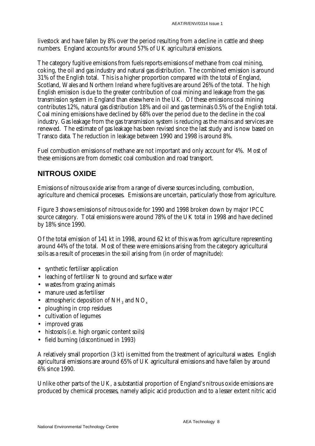livestock and have fallen by 8% over the period resulting from a decline in cattle and sheep numbers. England accounts for around 57% of UK agricultural emissions.

The category fugitive emissions from fuels reports emissions of methane from coal mining, coking, the oil and gas industry and natural gas distribution. The combined emission is around 31% of the English total. This is a higher proportion compared with the total of England, Scotland, Wales and Northern Ireland where fugitives are around 26% of the total. The high English emission is due to the greater contribution of coal mining and leakage from the gas transmission system in England than elsewhere in the UK. Of these emissions coal mining contributes 12%, natural gas distribution 18% and oil and gas terminals 0.5% of the English total. Coal mining emissions have declined by 68% over the period due to the decline in the coal industry. Gas leakage from the gas transmission system is reducing as the mains and services are renewed. The estimate of gas leakage has been revised since the last study and is now based on Transco data. The reduction in leakage between 1990 and 1998 is around 8%.

Fuel combustion emissions of methane are not important and only account for 4%. Most of these emissions are from domestic coal combustion and road transport.

### **NITROUS OXIDE**

Emissions of nitrous oxide arise from a range of diverse sources including, combustion, agriculture and chemical processes. Emissions are uncertain, particularly those from agriculture.

Figure 3 shows emissions of nitrous oxide for 1990 and 1998 broken down by major IPCC source category. Total emissions were around 78% of the UK total in 1998 and have declined by 18% since 1990.

Of the total emission of 141 kt in 1998, around 62 kt of this was from agriculture representing around 44% of the total. Most of these were emissions arising from the category agricultural soils as a result of processes in the soil arising from (in order of magnitude):

- synthetic fertiliser application
- leaching of fertiliser N to ground and surface water
- wastes from grazing animals
- manure used as fertiliser
- atmospheric deposition of  $NH<sub>3</sub>$  and  $NO<sub>x</sub>$
- ploughing in crop residues
- cultivation of legumes
- improved grass
- histosols (i.e. high organic content soils)
- field burning (discontinued in 1993)

A relatively small proportion (3 kt) is emitted from the treatment of agricultural wastes. English agricultural emissions are around 65% of UK agricultural emissions and have fallen by around 6% since 1990.

Unlike other parts of the UK, a substantial proportion of England's nitrous oxide emissions are produced by chemical processes, namely adipic acid production and to a lesser extent nitric acid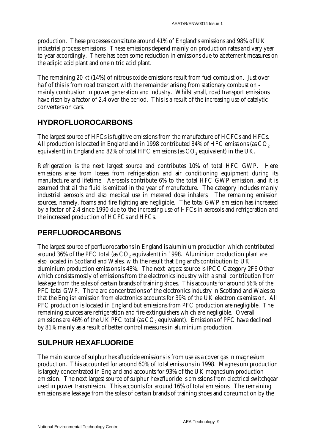production. These processes constitute around 41% of England's emissions and 98% of UK industrial process emissions. These emissions depend mainly on production rates and vary year to year accordingly. There has been some reduction in emissions due to abatement measures on the adipic acid plant and one nitric acid plant.

The remaining 20 kt (14%) of nitrous oxide emissions result from fuel combustion. Just over half of this is from road transport with the remainder arising from stationary combustion mainly combustion in power generation and industry. Whilst small, road transport emissions have risen by a factor of 2.4 over the period. This is a result of the increasing use of catalytic converters on cars.

#### **HYDROFLUOROCARBONS**

The largest source of HFCs is fugitive emissions from the manufacture of HCFCs and HFCs. All production is located in England and in 1998 contributed 84% of HFC emissions (as CO<sub>2</sub>) equivalent) in England and 82% of total HFC emissions (as  $CO$ , equivalent) in the UK.

Refrigeration is the next largest source and contributes 10% of total HFC GWP. Here emissions arise from losses from refrigeration and air conditioning equipment during its manufacture and lifetime. Aerosols contribute 6% to the total HFC GWP emission, and it is assumed that all the fluid is emitted in the year of manufacture. The category includes mainly industrial aerosols and also medical use in metered dose inhalers. The remaining emission sources, namely, foams and fire fighting are negligible. The total GWP emission has increased by a factor of 2.4 since 1990 due to the increasing use of HFCs in aerosols and refrigeration and the increased production of HCFCs and HFCs.

### **PERFLUOROCARBONS**

The largest source of perfluorocarbons in England is aluminium production which contributed around  $36\%$  of the PFC total (as  $CO<sub>2</sub>$  equivalent) in 1998. Aluminium production plant are also located in Scotland and Wales, with the result that England's contribution to UK aluminium production emissions is 48%. The next largest source is IPCC Category 2F6 Other which consists mostly of emissions from the electronics industry with a small contribution from leakage from the soles of certain brands of training shoes. This accounts for around 56% of the PFC total GWP. There are concentrations of the electronics industry in Scotland and Wales so that the English emission from electronics accounts for 39% of the UK electronics emission. All PFC production is located in England but emissions from PFC production are negligible. The remaining sources are refrigeration and fire extinguishers which are negligible. Overall emissions are 46% of the UK PFC total (as CO<sub>2</sub> equivalent). Emissions of PFC have declined by 81% mainly as a result of better control measures in aluminium production.

### **SULPHUR HEXAFLUORIDE**

The main source of sulphur hexafluoride emissions is from use as a cover gas in magnesium production. This accounted for around 60% of total emissions in 1998. Magnesium production is largely concentrated in England and accounts for 93% of the UK magnesium production emission. The next largest source of sulphur hexafluoride is emissions from electrical switchgear used in power transmission. This accounts for around 16% of total emissions. The remaining emissions are leakage from the soles of certain brands of training shoes and consumption by the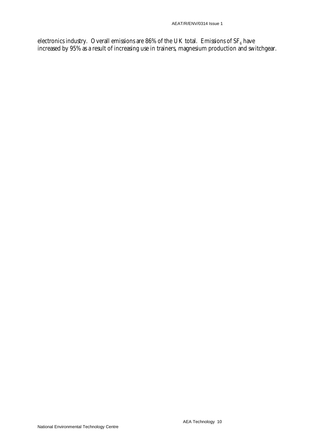electronics industry. Overall emissions are 86% of the UK total. Emissions of  $SF_6$  have increased by 95% as a result of increasing use in trainers, magnesium production and switchgear.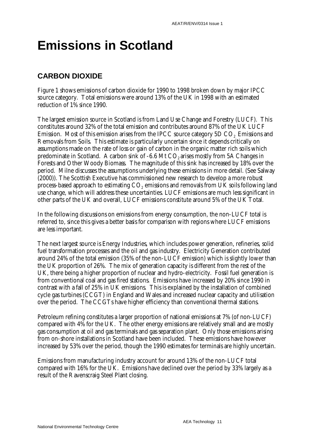# **Emissions in Scotland**

#### **CARBON DIOXIDE**

Figure 1 shows emissions of carbon dioxide for 1990 to 1998 broken down by major IPCC source category. Total emissions were around 13% of the UK in 1998 with an estimated reduction of 1% since 1990.

The largest emission source in Scotland is from Land Use Change and Forestry (LUCF). This constitutes around 32% of the total emission and contributes around 87% of the UK LUCF Emission. Most of this emission arises from the IPCC source category 5D CO<sub>2</sub> Emissions and Removals from Soils. This estimate is particularly uncertain since it depends critically on assumptions made on the rate of loss or gain of carbon in the organic matter rich soils which predominate in Scotland. A carbon sink of  $-6.6$  Mt CO<sub>2</sub> arises mostly from 5A Changes in Forests and Other Woody Biomass. The magnitude of this sink has increased by 18% over the period. Milne discusses the assumptions underlying these emissions in more detail. (See Salway (2000)). The Scottish Executive has commissioned new research to develop a more robust process-based approach to estimating CO<sub>2</sub> emissions and removals from UK soils following land use change, which will address these uncertainties. LUCF emissions are much less significant in other parts of the UK and overall, LUCF emissions constitute around 5% of the UK Total.

In the following discussions on emissions from energy consumption, the non-LUCF total is referred to, since this gives a better basis for comparison with regions where LUCF emissions are less important.

The next largest source is Energy Industries, which includes power generation, refineries, solid fuel transformation processes and the oil and gas industry. Electricity Generation contributed around 24% of the total emission (35% of the non-LUCF emission) which is slightly lower than the UK proportion of 26%. The mix of generation capacity is different from the rest of the UK, there being a higher proportion of nuclear and hydro-electricity. Fossil fuel generation is from conventional coal and gas fired stations. Emissions have increased by 20% since 1990 in contrast with a fall of 25% in UK emissions. This is explained by the installation of combined cycle gas turbines (CCGT) in England and Wales and increased nuclear capacity and utilisation over the period. The CCGTs have higher efficiency than conventional thermal stations.

Petroleum refining constitutes a larger proportion of national emissions at 7% (of non-LUCF) compared with 4% for the UK. The other energy emissions are relatively small and are mostly gas consumption at oil and gas terminals and gas separation plant. Only those emissions arising from on-shore installations in Scotland have been included. These emissions have however increased by 53% over the period, though the 1990 estimates for terminals are highly uncertain.

Emissions from manufacturing industry account for around 13% of the non-LUCF total compared with 16% for the UK. Emissions have declined over the period by 33% largely as a result of the Ravenscraig Steel Plant closing.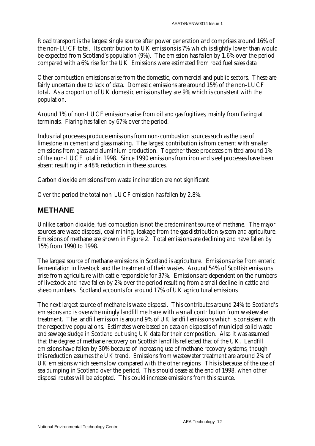Road transport is the largest single source after power generation and comprises around 16% of the non-LUCF total. Its contribution to UK emissions is 7% which is slightly lower than would be expected from Scotland's population (9%). The emission has fallen by 1.6% over the period compared with a 6% rise for the UK. Emissions were estimated from road fuel sales data.

Other combustion emissions arise from the domestic, commercial and public sectors. These are fairly uncertain due to lack of data. Domestic emissions are around 15% of the non-LUCF total. As a proportion of UK domestic emissions they are 9% which is consistent with the population.

Around 1% of non-LUCF emissions arise from oil and gas fugitives, mainly from flaring at terminals. Flaring has fallen by 67% over the period.

Industrial processes produce emissions from non-combustion sources such as the use of limestone in cement and glass making. The largest contribution is from cement with smaller emissions from glass and aluminium production. Together these processes emitted around 1% of the non-LUCF total in 1998. Since 1990 emissions from iron and steel processes have been absent resulting in a 48% reduction in these sources.

Carbon dioxide emissions from waste incineration are not significant

Over the period the total non-LUCF emission has fallen by 2.8%.

#### **METHANE**

Unlike carbon dioxide, fuel combustion is not the predominant source of methane. The major sources are waste disposal, coal mining, leakage from the gas distribution system and agriculture. Emissions of methane are shown in Figure 2. Total emissions are declining and have fallen by 15% from 1990 to 1998.

The largest source of methane emissions in Scotland is agriculture. Emissions arise from enteric fermentation in livestock and the treatment of their wastes. Around 54% of Scottish emissions arise from agriculture with cattle responsible for 37%. Emissions are dependent on the numbers of livestock and have fallen by 2% over the period resulting from a small decline in cattle and sheep numbers. Scotland accounts for around 17% of UK agricultural emissions.

The next largest source of methane is waste disposal. This contributes around 24% to Scotland's emissions and is overwhelmingly landfill methane with a small contribution from wastewater treatment. The landfill emission is around 9% of UK landfill emissions which is consistent with the respective populations. Estimates were based on data on disposals of municipal solid waste and sewage sludge in Scotland but using UK data for their composition. Also it was assumed that the degree of methane recovery on Scottish landfills reflected that of the UK. Landfill emissions have fallen by 30% because of increasing use of methane recovery systems, though this reduction assumes the UK trend. Emissions from wastewater treatment are around 2% of UK emissions which seems low compared with the other regions. This is because of the use of sea dumping in Scotland over the period. This should cease at the end of 1998, when other disposal routes will be adopted. This could increase emissions from this source.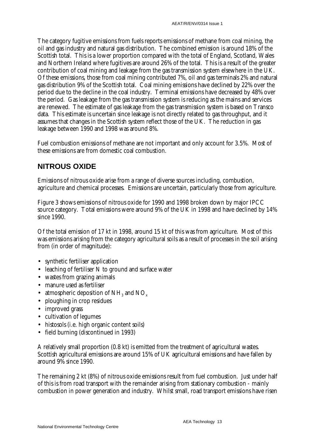The category fugitive emissions from fuels reports emissions of methane from coal mining, the oil and gas industry and natural gas distribution. The combined emission is around 18% of the Scottish total. This is a lower proportion compared with the total of England, Scotland, Wales and Northern Ireland where fugitives are around 26% of the total. This is a result of the greater contribution of coal mining and leakage from the gas transmission system elsewhere in the UK. Of these emissions, those from coal mining contributed 7%, oil and gas terminals 2% and natural gas distribution 9% of the Scottish total. Coal mining emissions have declined by 22% over the period due to the decline in the coal industry. Terminal emissions have decreased by 48% over the period. Gas leakage from the gas transmission system is reducing as the mains and services are renewed. The estimate of gas leakage from the gas transmission system is based on Transco data. This estimate is uncertain since leakage is not directly related to gas throughput, and it assumes that changes in the Scottish system reflect those of the UK. The reduction in gas leakage between 1990 and 1998 was around 8%.

Fuel combustion emissions of methane are not important and only account for 3.5%. Most of these emissions are from domestic coal combustion.

### **NITROUS OXIDE**

Emissions of nitrous oxide arise from a range of diverse sources including, combustion, agriculture and chemical processes. Emissions are uncertain, particularly those from agriculture.

Figure 3 shows emissions of nitrous oxide for 1990 and 1998 broken down by major IPCC source category. Total emissions were around 9% of the UK in 1998 and have declined by 14% since 1990.

Of the total emission of 17 kt in 1998, around 15 kt of this was from agriculture. Most of this was emissions arising from the category agricultural soils as a result of processes in the soil arising from (in order of magnitude):

- synthetic fertiliser application
- leaching of fertiliser N to ground and surface water
- wastes from grazing animals
- manure used as fertiliser
- atmospheric deposition of  $NH<sub>3</sub>$  and NO<sub>x</sub>
- ploughing in crop residues
- improved grass
- cultivation of legumes
- histosols (i.e. high organic content soils)
- field burning (discontinued in 1993)

A relatively small proportion (0.8 kt) is emitted from the treatment of agricultural wastes. Scottish agricultural emissions are around 15% of UK agricultural emissions and have fallen by around 9% since 1990.

The remaining 2 kt (8%) of nitrous oxide emissions result from fuel combustion. Just under half of this is from road transport with the remainder arising from stationary combustion - mainly combustion in power generation and industry. Whilst small, road transport emissions have risen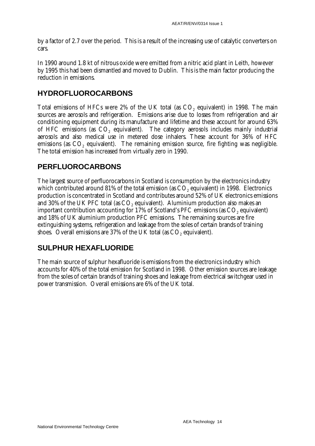by a factor of 2.7 over the period. This is a result of the increasing use of catalytic converters on cars.

In 1990 around 1.8 kt of nitrous oxide were emitted from a nitric acid plant in Leith, however by 1995 this had been dismantled and moved to Dublin. This is the main factor producing the reduction in emissions.

### **HYDROFLUOROCARBONS**

Total emissions of HFCs were 2% of the UK total (as CO<sub>2</sub> equivalent) in 1998. The main sources are aerosols and refrigeration. Emissions arise due to losses from refrigeration and air conditioning equipment during its manufacture and lifetime and these account for around 63% of HFC emissions (as  $CO<sub>2</sub>$  equivalent). The category aerosols includes mainly industrial aerosols and also medical use in metered dose inhalers. These account for 36% of HFC emissions (as  $CO<sub>2</sub>$  equivalent). The remaining emission source, fire fighting was negligible. The total emission has increased from virtually zero in 1990.

### **PERFLUOROCARBONS**

The largest source of perfluorocarbons in Scotland is consumption by the electronics industry which contributed around  $81\%$  of the total emission (as  $CO<sub>2</sub>$  equivalent) in 1998. Electronics production is concentrated in Scotland and contributes around 52% of UK electronics emissions and  $30\%$  of the UK PFC total (as  $CO$ , equivalent). Aluminium production also makes an important contribution accounting for  $17\%$  of Scotland's PFC emissions (as  $CO<sub>2</sub>$  equivalent) and 18% of UK aluminium production PFC emissions. The remaining sources are fire extinguishing systems, refrigeration and leakage from the soles of certain brands of training shoes. Overall emissions are 37% of the UK total (as  $CO<sub>2</sub>$  equivalent).

### **SULPHUR HEXAFLUORIDE**

The main source of sulphur hexafluoride is emissions from the electronics industry which accounts for 40% of the total emission for Scotland in 1998. Other emission sources are leakage from the soles of certain brands of training shoes and leakage from electrical switchgear used in power transmission. Overall emissions are 6% of the UK total.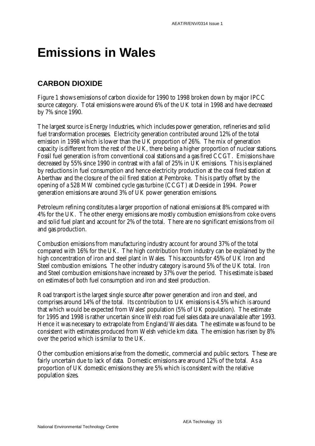# **Emissions in Wales**

### **CARBON DIOXIDE**

Figure 1 shows emissions of carbon dioxide for 1990 to 1998 broken down by major IPCC source category. Total emissions were around 6% of the UK total in 1998 and have decreased by 7% since 1990.

The largest source is Energy Industries, which includes power generation, refineries and solid fuel transformation processes. Electricity generation contributed around 12% of the total emission in 1998 which is lower than the UK proportion of 26%. The mix of generation capacity is different from the rest of the UK, there being a higher proportion of nuclear stations. Fossil fuel generation is from conventional coal stations and a gas fired CCGT. Emissions have decreased by 55% since 1990 in contrast with a fall of 25% in UK emissions. This is explained by reductions in fuel consumption and hence electricity production at the coal fired station at Aberthaw and the closure of the oil fired station at Pembroke. This is partly offset by the opening of a 528 MW combined cycle gas turbine (CCGT) at Deeside in 1994. Power generation emissions are around 3% of UK power generation emissions.

Petroleum refining constitutes a larger proportion of national emissions at 8% compared with 4% for the UK. The other energy emissions are mostly combustion emissions from coke ovens and solid fuel plant and account for 2% of the total. There are no significant emissions from oil and gas production.

Combustion emissions from manufacturing industry account for around 37% of the total compared with 16% for the UK. The high contribution from industry can be explained by the high concentration of iron and steel plant in Wales. This accounts for 45% of UK Iron and Steel combustion emissions. The other industry category is around 5% of the UK total. Iron and Steel combustion emissions have increased by 37% over the period. This estimate is based on estimates of both fuel consumption and iron and steel production.

Road transport is the largest single source after power generation and iron and steel, and comprises around 14% of the total. Its contribution to UK emissions is 4.5% which is around that which would be expected from Wales' population (5% of UK population). The estimate for 1995 and 1998 is rather uncertain since Welsh road fuel sales data are unavailable after 1993. Hence it was necessary to extrapolate from England/Wales data. The estimate was found to be consistent with estimates produced from Welsh vehicle km data. The emission has risen by 8% over the period which is similar to the UK.

Other combustion emissions arise from the domestic, commercial and public sectors. These are fairly uncertain due to lack of data. Domestic emissions are around 12% of the total. As a proportion of UK domestic emissions they are 5% which is consistent with the relative population sizes.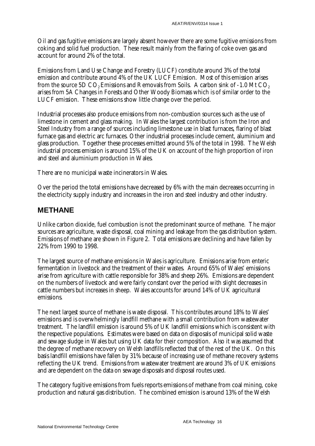Oil and gas fugitive emissions are largely absent however there are some fugitive emissions from coking and solid fuel production. These result mainly from the flaring of coke oven gas and account for around 2% of the total.

Emissions from Land Use Change and Forestry (LUCF) constitute around 3% of the total emission and contribute around 4% of the UK LUCF Emission. Most of this emission arises from the source 5D  $CO<sub>2</sub>$  Emissions and Removals from Soils. A carbon sink of -1.0 Mt  $CO<sub>2</sub>$ arises from 5A Changes in Forests and Other Woody Biomass which is of similar order to the LUCF emission. These emissions show little change over the period.

Industrial processes also produce emissions from non-combustion sources such as the use of limestone in cement and glass making. In Wales the largest contribution is from the Iron and Steel Industry from a range of sources including limestone use in blast furnaces, flaring of blast furnace gas and electric arc furnaces. Other industrial processes include cement, aluminium and glass production. Together these processes emitted around 5% of the total in 1998. The Welsh industrial process emission is around 15% of the UK on account of the high proportion of iron and steel and aluminium production in Wales.

There are no municipal waste incinerators in Wales.

Over the period the total emissions have decreased by 6% with the main decreases occurring in the electricity supply industry and increases in the iron and steel industry and other industry.

#### **METHANE**

Unlike carbon dioxide, fuel combustion is not the predominant source of methane. The major sources are agriculture, waste disposal, coal mining and leakage from the gas distribution system. Emissions of methane are shown in Figure 2. Total emissions are declining and have fallen by 22% from 1990 to 1998.

The largest source of methane emissions in Wales is agriculture. Emissions arise from enteric fermentation in livestock and the treatment of their wastes. Around 65% of Wales' emissions arise from agriculture with cattle responsible for 38% and sheep 26%. Emissions are dependent on the numbers of livestock and were fairly constant over the period with slight decreases in cattle numbers but increases in sheep. Wales accounts for around 14% of UK agricultural emissions.

The next largest source of methane is waste disposal. This contributes around 18% to Wales' emissions and is overwhelmingly landfill methane with a small contribution from wastewater treatment. The landfill emission is around 5% of UK landfill emissions which is consistent with the respective populations. Estimates were based on data on disposals of municipal solid waste and sewage sludge in Wales but using UK data for their composition. Also it was assumed that the degree of methane recovery on Welsh landfills reflected that of the rest of the UK. On this basis landfill emissions have fallen by 31% because of increasing use of methane recovery systems reflecting the UK trend. Emissions from wastewater treatment are around 3% of UK emissions and are dependent on the data on sewage disposals and disposal routes used.

The category fugitive emissions from fuels reports emissions of methane from coal mining, coke production and natural gas distribution. The combined emission is around 13% of the Welsh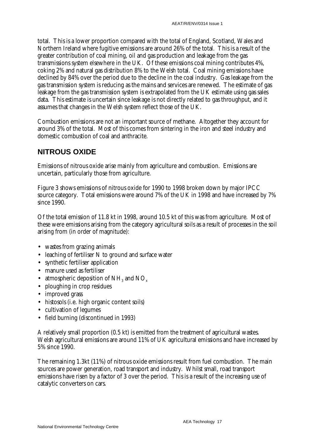total. This is a lower proportion compared with the total of England, Scotland, Wales and Northern Ireland where fugitive emissions are around 26% of the total. This is a result of the greater contribution of coal mining, oil and gas production and leakage from the gas transmissions system elsewhere in the UK. Of these emissions coal mining contributes 4%, coking 2% and natural gas distribution 8% to the Welsh total. Coal mining emissions have declined by 84% over the period due to the decline in the coal industry. Gas leakage from the gas transmission system is reducing as the mains and services are renewed. The estimate of gas leakage from the gas transmission system is extrapolated from the UK estimate using gas sales data. This estimate is uncertain since leakage is not directly related to gas throughput, and it assumes that changes in the Welsh system reflect those of the UK.

Combustion emissions are not an important source of methane. Altogether they account for around 3% of the total. Most of this comes from sintering in the iron and steel industry and domestic combustion of coal and anthracite.

### **NITROUS OXIDE**

Emissions of nitrous oxide arise mainly from agriculture and combustion. Emissions are uncertain, particularly those from agriculture.

Figure 3 shows emissions of nitrous oxide for 1990 to 1998 broken down by major IPCC source category. Total emissions were around 7% of the UK in 1998 and have increased by 7% since 1990.

Of the total emission of 11.8 kt in 1998, around 10.5 kt of this was from agriculture. Most of these were emissions arising from the category agricultural soils as a result of processes in the soil arising from (in order of magnitude):

- wastes from grazing animals
- leaching of fertiliser N to ground and surface water
- synthetic fertiliser application
- manure used as fertiliser
- atmospheric deposition of  $NH<sub>3</sub>$  and  $NO<sub>x</sub>$
- ploughing in crop residues
- improved grass
- histosols (i.e. high organic content soils)
- cultivation of legumes
- field burning (discontinued in 1993)

A relatively small proportion (0.5 kt) is emitted from the treatment of agricultural wastes. Welsh agricultural emissions are around 11% of UK agricultural emissions and have increased by 5% since 1990.

The remaining 1.3kt (11%) of nitrous oxide emissions result from fuel combustion. The main sources are power generation, road transport and industry. Whilst small, road transport emissions have risen by a factor of 3 over the period. This is a result of the increasing use of catalytic converters on cars.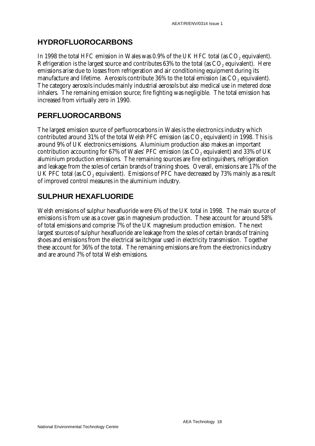#### **HYDROFLUOROCARBONS**

In 1998 the total HFC emission in Wales was 0.9% of the UK HFC total (as CO<sub>2</sub> equivalent). Refrigeration is the largest source and contributes  $63%$  to the total (as  $CO<sub>2</sub>$  equivalent). Here emissions arise due to losses from refrigeration and air conditioning equipment during its manufacture and lifetime. Aerosols contribute 36% to the total emission (as CO<sub>2</sub> equivalent). The category aerosols includes mainly industrial aerosols but also medical use in metered dose inhalers. The remaining emission source; fire fighting was negligible. The total emission has increased from virtually zero in 1990.

#### **PERFLUOROCARBONS**

The largest emission source of perfluorocarbons in Wales is the electronics industry which contributed around  $31\%$  of the total Welsh PFC emission (as  $CO<sub>2</sub>$  equivalent) in 1998. This is around 9% of UK electronics emissions. Aluminium production also makes an important contribution accounting for 67% of Wales' PFC emission (as  $CO<sub>2</sub>$  equivalent) and 33% of UK aluminium production emissions. The remaining sources are fire extinguishers, refrigeration and leakage from the soles of certain brands of training shoes. Overall, emissions are 17% of the UK PFC total (as CO<sub>2</sub> equivalent). Emissions of PFC have decreased by 73% mainly as a result of improved control measures in the aluminium industry.

#### **SULPHUR HEXAFLUORIDE**

Welsh emissions of sulphur hexafluoride were 6% of the UK total in 1998. The main source of emissions is from use as a cover gas in magnesium production. These account for around 58% of total emissions and comprise 7% of the UK magnesium production emission. The next largest sources of sulphur hexafluoride are leakage from the soles of certain brands of training shoes and emissions from the electrical switchgear used in electricity transmission. Together these account for 36% of the total. The remaining emissions are from the electronics industry and are around 7% of total Welsh emissions.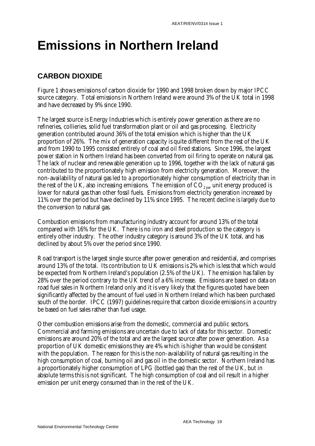# **Emissions in Northern Ireland**

#### **CARBON DIOXIDE**

Figure 1 shows emissions of carbon dioxide for 1990 and 1998 broken down by major IPCC source category. Total emissions in Northern Ireland were around 3% of the UK total in 1998 and have decreased by 9% since 1990.

The largest source is Energy Industries which is entirely power generation as there are no refineries, collieries, solid fuel transformation plant or oil and gas processing. Electricity generation contributed around 36% of the total emission which is higher than the UK proportion of 26%. The mix of generation capacity is quite different from the rest of the UK and from 1990 to 1995 consisted entirely of coal and oil fired stations. Since 1996, the largest power station in Northern Ireland has been converted from oil firing to operate on natural gas. The lack of nuclear and renewable generation up to 1996, together with the lack of natural gas contributed to the proportionately high emission from electricity generation. Moreover, the non-availability of natural gas led to a proportionately higher consumption of electricity than in the rest of the UK, also increasing emissions. The emission of  $CO_{2\text{ per}}$  unit energy produced is lower for natural gas than other fossil fuels. Emissions from electricity generation increased by 11% over the period but have declined by 11% since 1995. The recent decline is largely due to the conversion to natural gas.

Combustion emissions from manufacturing industry account for around 13% of the total compared with 16% for the UK. There is no iron and steel production so the category is entirely other industry. The other industry category is around 3% of the UK total, and has declined by about 5% over the period since 1990.

Road transport is the largest single source after power generation and residential, and comprises around 13% of the total. Its contribution to UK emissions is 2% which is less that which would be expected from Northern Ireland's population (2.5% of the UK). The emission has fallen by 28% over the period contrary to the UK trend of a 6% increase. Emissions are based on data on road fuel sales in Northern Ireland only and it is very likely that the figures quoted have been significantly affected by the amount of fuel used in Northern Ireland which has been purchased south of the border. IPCC (1997) guidelines require that carbon dioxide emissions in a country be based on fuel sales rather than fuel usage.

Other combustion emissions arise from the domestic, commercial and public sectors. Commercial and farming emissions are uncertain due to lack of data for this sector. Domestic emissions are around 20% of the total and are the largest source after power generation. As a proportion of UK domestic emissions they are 4% which is higher than would be consistent with the population. The reason for this is the non-availability of natural gas resulting in the high consumption of coal, burning oil and gas oil in the domestic sector. Northern Ireland has a proportionately higher consumption of LPG (bottled gas) than the rest of the UK, but in absolute terms this is not significant. The high consumption of coal and oil result in a higher emission per unit energy consumed than in the rest of the UK.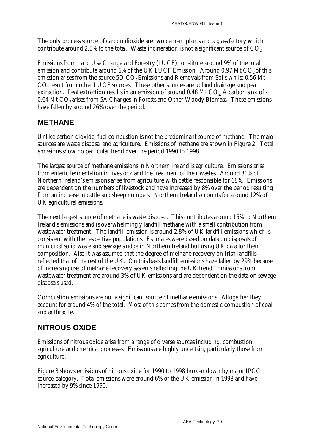The only process source of carbon dioxide are two cement plants and a glass factory which contribute around 2.5% to the total. Waste incineration is not a significant source of  $CO<sub>2</sub>$ .

Emissions from Land Use Change and Forestry (LUCF) constitute around 9% of the total emission and contribute around  $6\%$  of the UK LUCF Emission. Around 0.97 Mt CO<sub>2</sub> of this emission arises from the source 5D CO<sub>2</sub> Emissions and Removals from Soils whilst 0.56 Mt CO<sub>2</sub> result from other LUCF sources. These other sources are upland drainage and peat extraction. Peat extraction results in an emission of around 0.48 Mt CO<sub>2</sub>. A carbon sink of -0.64 Mt CO<sub>2</sub> arises from 5A Changes in Forests and Other Woody Biomass. These emissions have fallen by around 26% over the period.

#### **METHANE**

Unlike carbon dioxide, fuel combustion is not the predominant source of methane. The major sources are waste disposal and agriculture. Emissions of methane are shown in Figure 2. Total emissions show no particular trend over the period 1990 to 1998.

The largest source of methane emissions in Northern Ireland is agriculture. Emissions arise from enteric fermentation in livestock and the treatment of their wastes. Around 81% of Northern Ireland's emissions arise from agriculture with cattle responsible for 68%. Emissions are dependent on the numbers of livestock and have increased by 8% over the period resulting from an increase in cattle and sheep numbers. Northern Ireland accounts for around 12% of UK agricultural emissions.

The next largest source of methane is waste disposal. This contributes around 15% to Northern Ireland's emissions and is overwhelmingly landfill methane with a small contribution from wastewater treatment. The landfill emission is around 2.8% of UK landfill emissions which is consistent with the respective populations. Estimates were based on data on disposals of municipal solid waste and sewage sludge in Northern Ireland but using UK data for their composition. Also it was assumed that the degree of methane recovery on Irish landfills reflected that of the rest of the UK. On this basis landfill emissions have fallen by 29% because of increasing use of methane recovery systems reflecting the UK trend. Emissions from wastewater treatment are around 3% of UK emissions and are dependent on the data on sewage disposals used.

Combustion emissions are not a significant source of methane emissions. Altogether they account for around 4% of the total. Most of this comes from the domestic combustion of coal and anthracite.

### **NITROUS OXIDE**

Emissions of nitrous oxide arise from a range of diverse sources including, combustion, agriculture and chemical processes. Emissions are highly uncertain, particularly those from agriculture.

Figure 3 shows emissions of nitrous oxide for 1990 to 1998 broken down by major IPCC source category. Total emissions were around 6% of the UK emission in 1998 and have increased by 9% since 1990.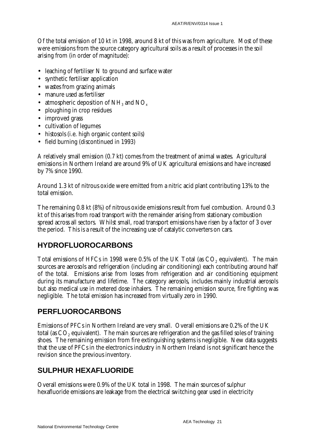Of the total emission of 10 kt in 1998, around 8 kt of this was from agriculture. Most of these were emissions from the source category agricultural soils as a result of processes in the soil arising from (in order of magnitude):

- leaching of fertiliser N to ground and surface water
- synthetic fertiliser application
- wastes from grazing animals
- manure used as fertiliser
- atmospheric deposition of  $NH<sub>3</sub>$  and  $NO<sub>x</sub>$
- ploughing in crop residues
- improved grass
- cultivation of legumes
- histosols (i.e. high organic content soils)
- field burning (discontinued in 1993)

A relatively small emission (0.7 kt) comes from the treatment of animal wastes. Agricultural emissions in Northern Ireland are around 9% of UK agricultural emissions and have increased by 7% since 1990.

Around 1.3 kt of nitrous oxide were emitted from a nitric acid plant contributing 13% to the total emission.

The remaining 0.8 kt (8%) of nitrous oxide emissions result from fuel combustion. Around 0.3 kt of this arises from road transport with the remainder arising from stationary combustion spread across all sectors. Whilst small, road transport emissions have risen by a factor of 3 over the period. This is a result of the increasing use of catalytic converters on cars.

### **HYDROFLUOROCARBONS**

Total emissions of HFCs in 1998 were 0.5% of the UK Total (as CO<sub>2</sub> equivalent). The main sources are aerosols and refrigeration (including air conditioning) each contributing around half of the total. Emissions arise from losses from refrigeration and air conditioning equipment during its manufacture and lifetime. The category aerosols, includes mainly industrial aerosols but also medical use in metered dose inhalers. The remaining emission source, fire fighting was negligible. The total emission has increased from virtually zero in 1990.

#### **PERFLUOROCARBONS**

Emissions of PFCs in Northern Ireland are very small. Overall emissions are 0.2% of the UK total (as CO<sub>2</sub> equivalent). The main sources are refrigeration and the gas filled soles of training shoes. The remaining emission from fire extinguishing systems is negligible. New data suggests that the use of PFCs in the electronics industry in Northern Ireland is not significant hence the revision since the previous inventory.

### **SULPHUR HEXAFLUORIDE**

Overall emissions were 0.9% of the UK total in 1998. The main sources of sulphur hexafluoride emissions are leakage from the electrical switching gear used in electricity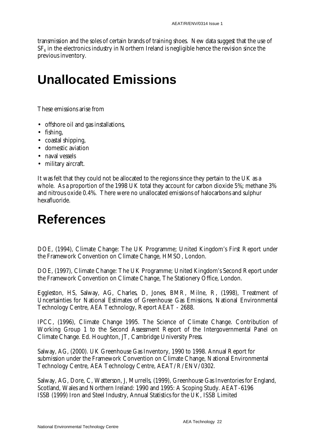transmission and the soles of certain brands of training shoes. New data suggest that the use of  $SF<sub>6</sub>$  in the electronics industry in Northern Ireland is negligible hence the revision since the previous inventory.

# **Unallocated Emissions**

These emissions arise from

- offshore oil and gas installations,
- fishing,
- coastal shipping,
- domestic aviation
- naval vessels
- military aircraft.

It was felt that they could not be allocated to the regions since they pertain to the UK as a whole. As a proportion of the 1998 UK total they account for carbon dioxide 5%; methane 3% and nitrous oxide 0.4%. There were no unallocated emissions of halocarbons and sulphur hexafluoride.

## **References**

DOE, (1994), Climate Change: The UK Programme; United Kingdom's First Report under the Framework Convention on Climate Change, HMSO, London.

DOE, (1997), Climate Change: The UK Programme; United Kingdom's Second Report under the Framework Convention on Climate Change, The Stationery Office, London.

Eggleston, HS, Salway, AG, Charles, D, Jones, BMR, Milne, R, (1998), Treatment of Uncertainties for National Estimates of Greenhouse Gas Emissions, National Environmental Technology Centre, AEA Technology, Report AEAT - 2688.

IPCC, (1996), Climate Change 1995. The Science of Climate Change. Contribution of Working Group 1 to the Second Assessment Report of the Intergovernmental Panel on Climate Change. Ed. Houghton, JT, Cambridge University Press.

Salway, AG, (2000). UK Greenhouse Gas Inventory, 1990 to 1998. Annual Report for submission under the Framework Convention on Climate Change, National Environmental Technology Centre, AEA Technology Centre, AEAT/R/ENV/0302.

Salway, AG, Dore, C, Watterson, J, Murrells, (1999), Greenhouse Gas Inventories for England, Scotland, Wales and Northern Ireland: 1990 and 1995: A Scoping Study. AEAT-6196 ISSB (1999) Iron and Steel Industry, Annual Statistics for the UK, ISSB Limited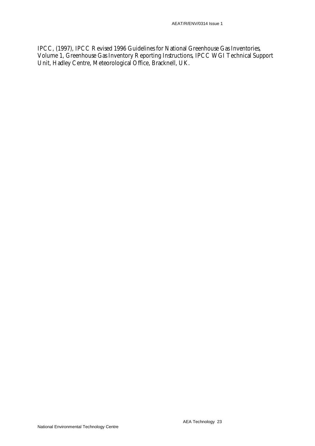IPCC, (1997), IPCC Revised 1996 Guidelines for National Greenhouse Gas Inventories, Volume 1, Greenhouse Gas Inventory Reporting Instructions, IPCC WGI Technical Support Unit, Hadley Centre, Meteorological Office, Bracknell, UK.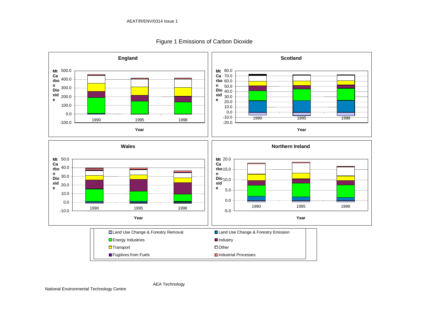

#### Figure 1 Emissions of Carbon Dioxide

National Environmental Technology Centre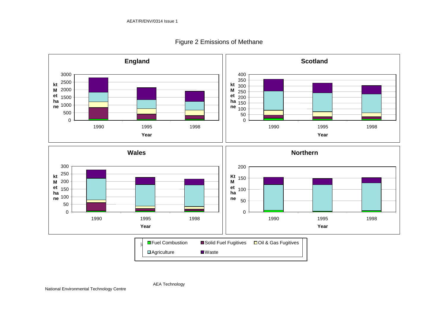AEA Technology



Figure 2 Emissions of Methane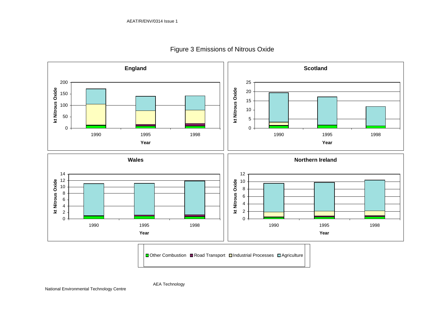

#### Figure 3 Emissions of Nitrous Oxide

**■ Other Combustion ■ Road Transport <b>□ Industrial Processes** ■ Agriculture 1990 1995 1998

AEA Technology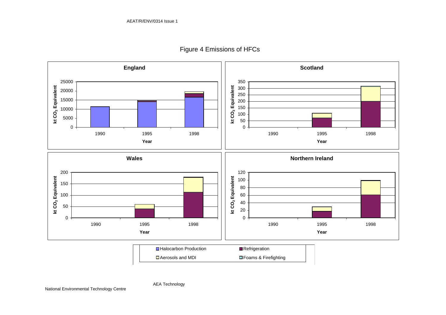

Figure 4 Emissions of HFCs

□ Aerosols and MDI ■Halocarbon Production **Refrigeration** ■Foams & Firefighting

AEA Technology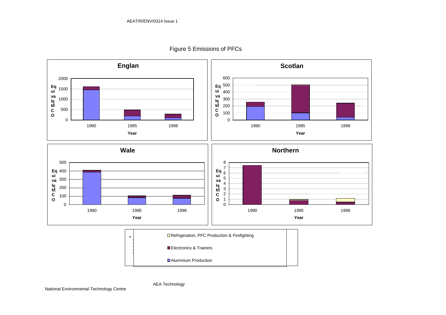

AEA Technology

Figure 5 Emissions of PFCs